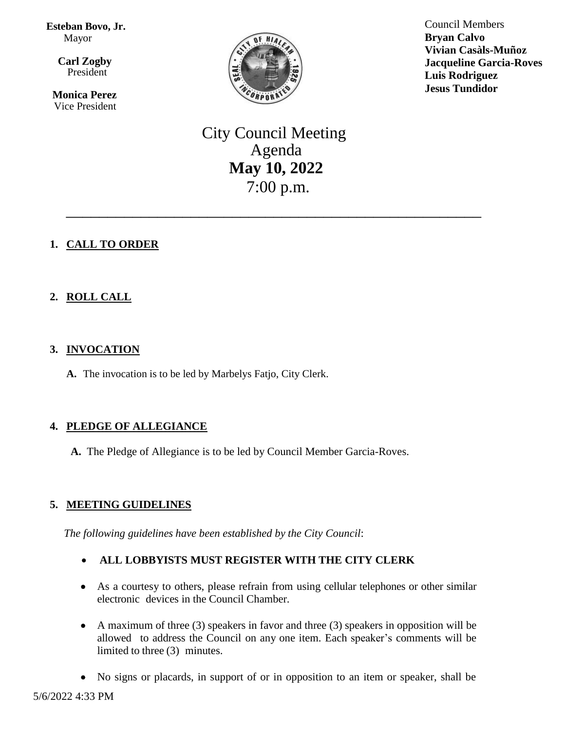**Esteban Bovo, Jr.**  Mayor

 $\overline{\mathbf{a}}$  **Carl Zogby** President

> **Monica Perez** Vice President



Council Members **Bryan Calvo Vivian Casàls-Muñoz Jacqueline Garcia-Roves Luis Rodriguez Jesus Tundidor**

# City Council Meeting Agenda **May 10, 2022** 7:00 p.m.

\_\_\_\_\_\_\_\_\_\_\_\_\_\_\_\_\_\_\_\_\_\_\_\_\_\_\_\_\_\_\_\_\_\_\_\_\_\_\_\_\_\_\_\_\_\_\_\_\_\_

# **1. CALL TO ORDER**

# **2. ROLL CALL**

# **3. INVOCATION**

**A.** The invocation is to be led by Marbelys Fatjo, City Clerk.

# **4. PLEDGE OF ALLEGIANCE**

**A.** The Pledge of Allegiance is to be led by Council Member Garcia-Roves.

# **5. MEETING GUIDELINES**

*The following guidelines have been established by the City Council*:

## **ALL LOBBYISTS MUST REGISTER WITH THE CITY CLERK**

- As a courtesy to others, please refrain from using cellular telephones or other similar electronic devices in the Council Chamber.
- A maximum of three (3) speakers in favor and three (3) speakers in opposition will be allowed to address the Council on any one item. Each speaker's comments will be limited to three (3) minutes.
- No signs or placards, in support of or in opposition to an item or speaker, shall be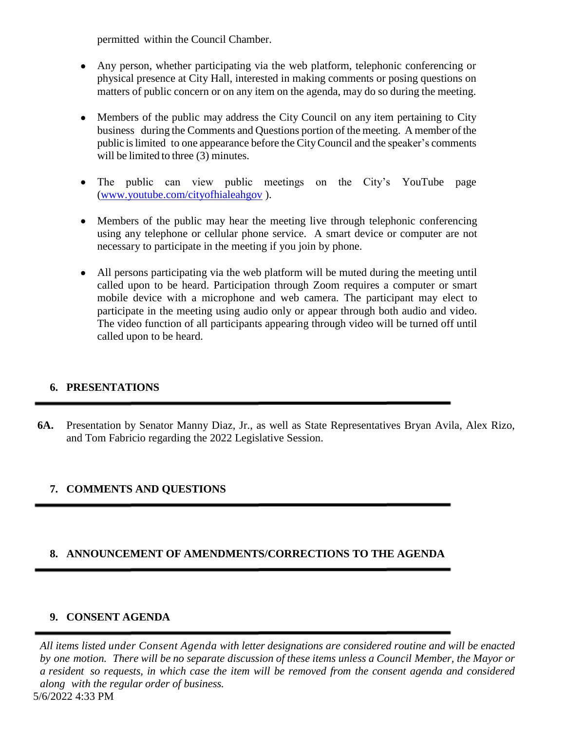permitted within the Council Chamber.

- Any person, whether participating via the web platform, telephonic conferencing or physical presence at City Hall, interested in making comments or posing questions on matters of public concern or on any item on the agenda, may do so during the meeting.
- Members of the public may address the City Council on any item pertaining to City business during the Comments and Questions portion of the meeting. A member of the public islimited to one appearance before the CityCouncil and the speaker's comments will be limited to three (3) minutes.
- The public can view public meetings on the City's YouTube page [\(www.youtube.com/cityofhialeahgov](http://www.youtube.com/cityofhialeahgov) ).
- Members of the public may hear the meeting live through telephonic conferencing using any telephone or cellular phone service. A smart device or computer are not necessary to participate in the meeting if you join by phone.
- All persons participating via the web platform will be muted during the meeting until called upon to be heard. Participation through Zoom requires a computer or smart mobile device with a microphone and web camera. The participant may elect to participate in the meeting using audio only or appear through both audio and video. The video function of all participants appearing through video will be turned off until called upon to be heard.

# **6. PRESENTATIONS**

**6A.** Presentation by Senator Manny Diaz, Jr., as well as State Representatives Bryan Avila, Alex Rizo, and Tom Fabricio regarding the 2022 Legislative Session.

# **7. COMMENTS AND QUESTIONS**

## **8. ANNOUNCEMENT OF AMENDMENTS/CORRECTIONS TO THE AGENDA**

## **9. CONSENT AGENDA**

5/6/2022 4:33 PM *All items listed under Consent Agenda with letter designations are considered routine and will be enacted* by one motion. There will be no separate discussion of these items unless a Council Member, the Mayor or a resident so requests, in which case the item will be removed from the consent agenda and considered *along with the regular order of business.*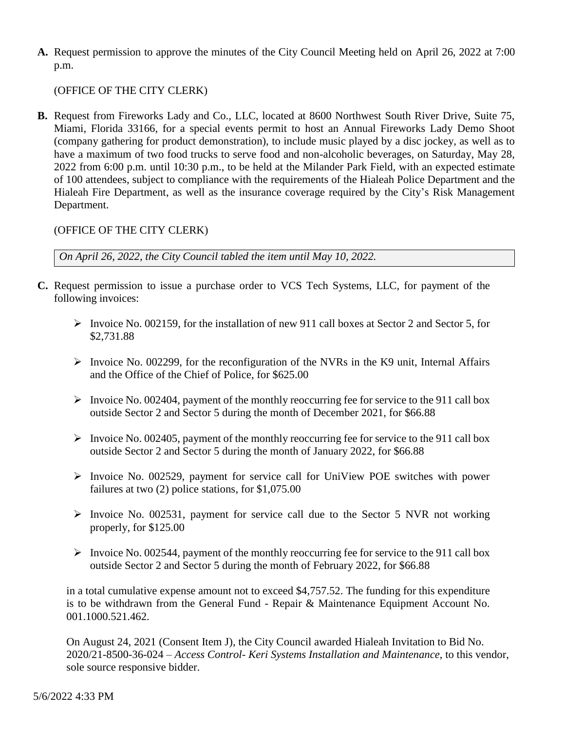**A.** Request permission to approve the minutes of the City Council Meeting held on April 26, 2022 at 7:00 p.m.

(OFFICE OF THE CITY CLERK)

**B.** Request from Fireworks Lady and Co., LLC, located at 8600 Northwest South River Drive, Suite 75, Miami, Florida 33166, for a special events permit to host an Annual Fireworks Lady Demo Shoot (company gathering for product demonstration), to include music played by a disc jockey, as well as to have a maximum of two food trucks to serve food and non-alcoholic beverages, on Saturday, May 28, 2022 from 6:00 p.m. until 10:30 p.m., to be held at the Milander Park Field, with an expected estimate of 100 attendees, subject to compliance with the requirements of the Hialeah Police Department and the Hialeah Fire Department, as well as the insurance coverage required by the City's Risk Management Department.

## (OFFICE OF THE CITY CLERK)

*On April 26, 2022, the City Council tabled the item until May 10, 2022.* 

- **C.** Request permission to issue a purchase order to VCS Tech Systems, LLC, for payment of the following invoices:
	- Invoice No. 002159, for the installation of new 911 call boxes at Sector 2 and Sector 5, for \$2,731.88
	- Invoice No. 002299, for the reconfiguration of the NVRs in the K9 unit, Internal Affairs and the Office of the Chief of Police, for \$625.00
	- $\triangleright$  Invoice No. 002404, payment of the monthly reoccurring fee for service to the 911 call box outside Sector 2 and Sector 5 during the month of December 2021, for \$66.88
	- Invoice No. 002405, payment of the monthly reoccurring fee for service to the 911 call box outside Sector 2 and Sector 5 during the month of January 2022, for \$66.88
	- $\triangleright$  Invoice No. 002529, payment for service call for UniView POE switches with power failures at two (2) police stations, for \$1,075.00
	- Invoice No. 002531, payment for service call due to the Sector 5 NVR not working properly, for \$125.00
	- Invoice No. 002544, payment of the monthly reoccurring fee for service to the 911 call box outside Sector 2 and Sector 5 during the month of February 2022, for \$66.88

in a total cumulative expense amount not to exceed \$4,757.52. The funding for this expenditure is to be withdrawn from the General Fund - Repair & Maintenance Equipment Account No. 001.1000.521.462.

On August 24, 2021 (Consent Item J), the City Council awarded Hialeah Invitation to Bid No. 2020/21-8500-36-024 – *Access Control- Keri Systems Installation and Maintenance*, to this vendor, sole source responsive bidder.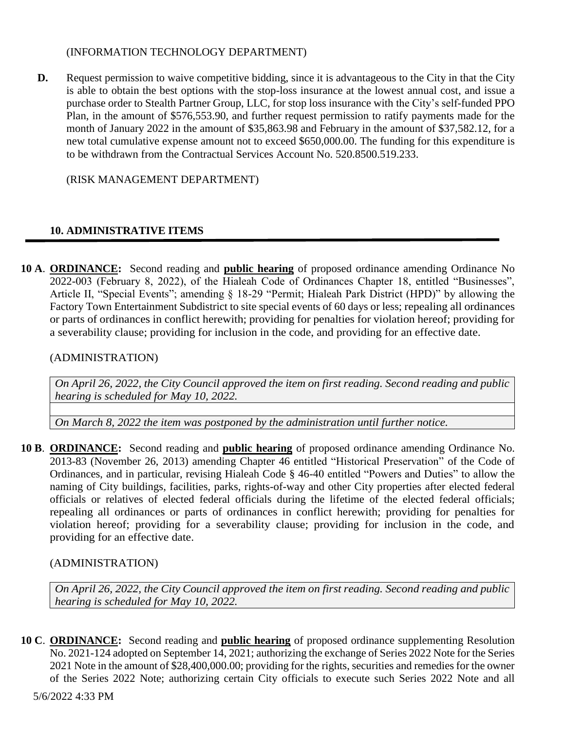#### (INFORMATION TECHNOLOGY DEPARTMENT)

**D.** Request permission to waive competitive bidding, since it is advantageous to the City in that the City is able to obtain the best options with the stop-loss insurance at the lowest annual cost, and issue a purchase order to Stealth Partner Group, LLC, for stop loss insurance with the City's self-funded PPO Plan, in the amount of \$576,553.90, and further request permission to ratify payments made for the month of January 2022 in the amount of \$35,863.98 and February in the amount of \$37,582.12, for a new total cumulative expense amount not to exceed \$650,000.00. The funding for this expenditure is to be withdrawn from the Contractual Services Account No. 520.8500.519.233.

(RISK MANAGEMENT DEPARTMENT)

# **10. ADMINISTRATIVE ITEMS**

**10 A**. **ORDINANCE:** Second reading and **public hearing** of proposed ordinance amending Ordinance No 2022-003 (February 8, 2022), of the Hialeah Code of Ordinances Chapter 18, entitled "Businesses", Article II, "Special Events"; amending § 18-29 "Permit; Hialeah Park District (HPD)" by allowing the Factory Town Entertainment Subdistrict to site special events of 60 days or less; repealing all ordinances or parts of ordinances in conflict herewith; providing for penalties for violation hereof; providing for a severability clause; providing for inclusion in the code, and providing for an effective date.

## (ADMINISTRATION)

*On April 26, 2022, the City Council approved the item on first reading. Second reading and public hearing is scheduled for May 10, 2022.*

*On March 8, 2022 the item was postponed by the administration until further notice.*

**10 B**. **ORDINANCE:** Second reading and **public hearing** of proposed ordinance amending Ordinance No. 2013-83 (November 26, 2013) amending Chapter 46 entitled "Historical Preservation" of the Code of Ordinances, and in particular, revising Hialeah Code § 46-40 entitled "Powers and Duties" to allow the naming of City buildings, facilities, parks, rights-of-way and other City properties after elected federal officials or relatives of elected federal officials during the lifetime of the elected federal officials; repealing all ordinances or parts of ordinances in conflict herewith; providing for penalties for violation hereof; providing for a severability clause; providing for inclusion in the code, and providing for an effective date.

## (ADMINISTRATION)

*On April 26, 2022, the City Council approved the item on first reading. Second reading and public hearing is scheduled for May 10, 2022.*

**10 C**. **ORDINANCE:** Second reading and **public hearing** of proposed ordinance supplementing Resolution No. 2021-124 adopted on September 14, 2021; authorizing the exchange of Series 2022 Note for the Series 2021 Note in the amount of \$28,400,000.00; providing for the rights, securities and remedies for the owner of the Series 2022 Note; authorizing certain City officials to execute such Series 2022 Note and all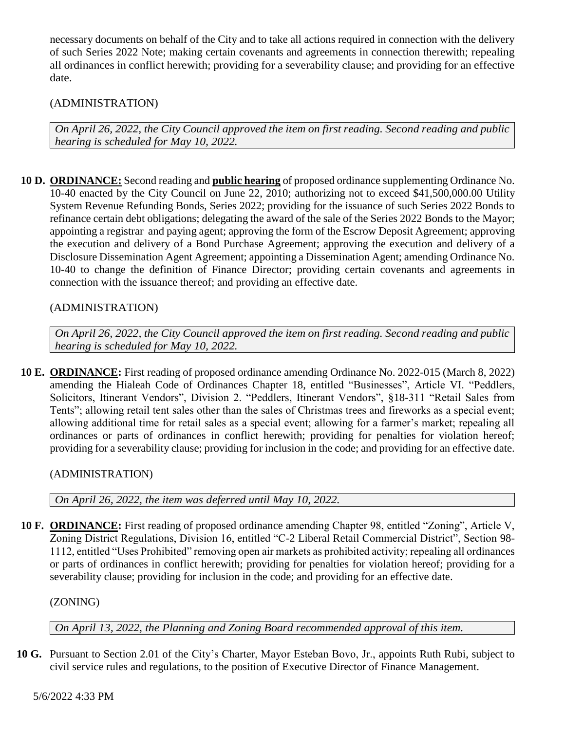necessary documents on behalf of the City and to take all actions required in connection with the delivery of such Series 2022 Note; making certain covenants and agreements in connection therewith; repealing all ordinances in conflict herewith; providing for a severability clause; and providing for an effective date.

# (ADMINISTRATION)

*On April 26, 2022, the City Council approved the item on first reading. Second reading and public hearing is scheduled for May 10, 2022.*

**10 D. ORDINANCE:** Second reading and **public hearing** of proposed ordinance supplementing Ordinance No. 10-40 enacted by the City Council on June 22, 2010; authorizing not to exceed \$41,500,000.00 Utility System Revenue Refunding Bonds, Series 2022; providing for the issuance of such Series 2022 Bonds to refinance certain debt obligations; delegating the award of the sale of the Series 2022 Bonds to the Mayor; appointing a registrar and paying agent; approving the form of the Escrow Deposit Agreement; approving the execution and delivery of a Bond Purchase Agreement; approving the execution and delivery of a Disclosure Dissemination Agent Agreement; appointing a Dissemination Agent; amending Ordinance No. 10-40 to change the definition of Finance Director; providing certain covenants and agreements in connection with the issuance thereof; and providing an effective date.

# (ADMINISTRATION)

*On April 26, 2022, the City Council approved the item on first reading. Second reading and public hearing is scheduled for May 10, 2022.*

**10 E. ORDINANCE:** First reading of proposed ordinance amending Ordinance No. 2022-015 (March 8, 2022) amending the Hialeah Code of Ordinances Chapter 18, entitled "Businesses", Article VI. "Peddlers, Solicitors, Itinerant Vendors", Division 2. "Peddlers, Itinerant Vendors", §18-311 "Retail Sales from Tents"; allowing retail tent sales other than the sales of Christmas trees and fireworks as a special event; allowing additional time for retail sales as a special event; allowing for a farmer's market; repealing all ordinances or parts of ordinances in conflict herewith; providing for penalties for violation hereof; providing for a severability clause; providing for inclusion in the code; and providing for an effective date.

(ADMINISTRATION)

*On April 26, 2022, the item was deferred until May 10, 2022.* 

**10 F. ORDINANCE:** First reading of proposed ordinance amending Chapter 98, entitled "Zoning", Article V, Zoning District Regulations, Division 16, entitled "C-2 Liberal Retail Commercial District", Section 98- 1112, entitled "Uses Prohibited" removing open air markets as prohibited activity; repealing all ordinances or parts of ordinances in conflict herewith; providing for penalties for violation hereof; providing for a severability clause; providing for inclusion in the code; and providing for an effective date.

(ZONING)

*On April 13, 2022, the Planning and Zoning Board recommended approval of this item.*

**10 G.** Pursuant to Section 2.01 of the City's Charter, Mayor Esteban Bovo, Jr., appoints Ruth Rubi, subject to civil service rules and regulations, to the position of Executive Director of Finance Management.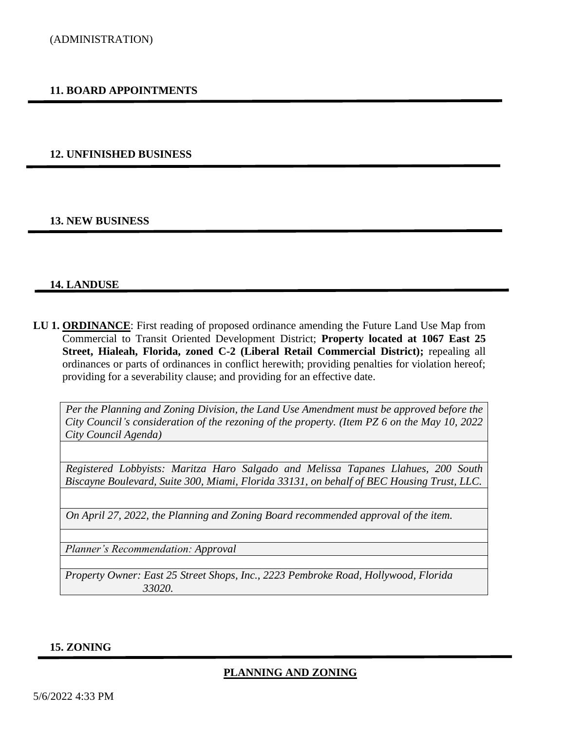#### **11. BOARD APPOINTMENTS**

#### **12. UNFINISHED BUSINESS**

#### **13. NEW BUSINESS**

#### **14. LANDUSE**

**LU 1. ORDINANCE**: First reading of proposed ordinance amending the Future Land Use Map from Commercial to Transit Oriented Development District; **Property located at 1067 East 25 Street, Hialeah, Florida, zoned C-2 (Liberal Retail Commercial District);** repealing all ordinances or parts of ordinances in conflict herewith; providing penalties for violation hereof; providing for a severability clause; and providing for an effective date.

*Per the Planning and Zoning Division, the Land Use Amendment must be approved before the City Council's consideration of the rezoning of the property. (Item PZ 6 on the May 10, 2022 City Council Agenda)* 

*Registered Lobbyists: Maritza Haro Salgado and Melissa Tapanes Llahues, 200 South Biscayne Boulevard, Suite 300, Miami, Florida 33131, on behalf of BEC Housing Trust, LLC.*

*On April 27, 2022, the Planning and Zoning Board recommended approval of the item.* 

*Planner's Recommendation: Approval*

*Property Owner: East 25 Street Shops, Inc., 2223 Pembroke Road, Hollywood, Florida 33020.*

#### **15. ZONING**

#### **PLANNING AND ZONING**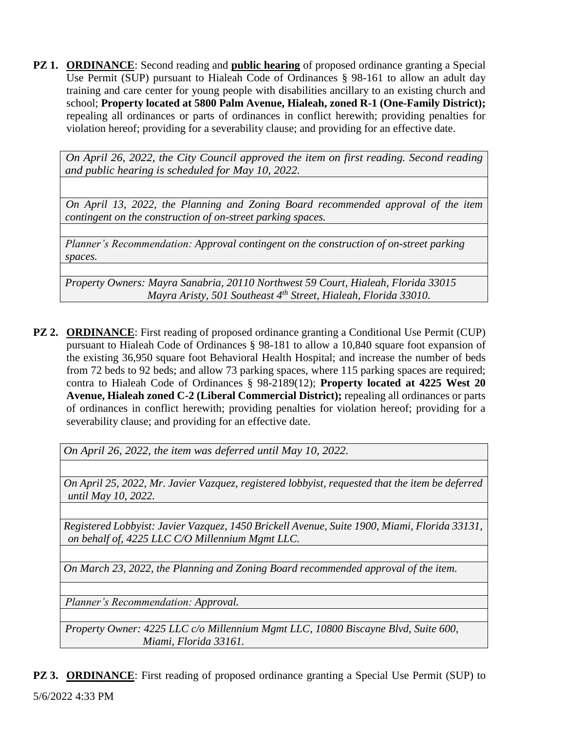**PZ 1. ORDINANCE**: Second reading and **public hearing** of proposed ordinance granting a Special Use Permit (SUP) pursuant to Hialeah Code of Ordinances § 98-161 to allow an adult day training and care center for young people with disabilities ancillary to an existing church and school; **Property located at 5800 Palm Avenue, Hialeah, zoned R-1 (One-Family District);** repealing all ordinances or parts of ordinances in conflict herewith; providing penalties for violation hereof; providing for a severability clause; and providing for an effective date.

*On April 26, 2022, the City Council approved the item on first reading. Second reading and public hearing is scheduled for May 10, 2022.*

*On April 13, 2022, the Planning and Zoning Board recommended approval of the item contingent on the construction of on-street parking spaces.*

*Planner's Recommendation: Approval contingent on the construction of on-street parking spaces.*

*Property Owners: Mayra Sanabria, 20110 Northwest 59 Court, Hialeah, Florida 33015 Mayra Aristy, 501 Southeast 4th Street, Hialeah, Florida 33010.*

**PZ 2. ORDINANCE:** First reading of proposed ordinance granting a Conditional Use Permit (CUP) pursuant to Hialeah Code of Ordinances § 98-181 to allow a 10,840 square foot expansion of the existing 36,950 square foot Behavioral Health Hospital; and increase the number of beds from 72 beds to 92 beds; and allow 73 parking spaces, where 115 parking spaces are required; contra to Hialeah Code of Ordinances § 98-2189(12); **Property located at 4225 West 20 Avenue, Hialeah zoned C-2 (Liberal Commercial District);** repealing all ordinances or parts of ordinances in conflict herewith; providing penalties for violation hereof; providing for a severability clause; and providing for an effective date.

*On April 26, 2022, the item was deferred until May 10, 2022.*

*On April 25, 2022, Mr. Javier Vazquez, registered lobbyist, requested that the item be deferred until May 10, 2022.*

*Registered Lobbyist: Javier Vazquez, 1450 Brickell Avenue, Suite 1900, Miami, Florida 33131, on behalf of, 4225 LLC C/O Millennium Mgmt LLC.*

*On March 23, 2022, the Planning and Zoning Board recommended approval of the item.*

*Planner's Recommendation: Approval.*

*Property Owner: 4225 LLC c/o Millennium Mgmt LLC, 10800 Biscayne Blvd, Suite 600, Miami, Florida 33161.*

5/6/2022 4:33 PM **PZ 3. ORDINANCE:** First reading of proposed ordinance granting a Special Use Permit (SUP) to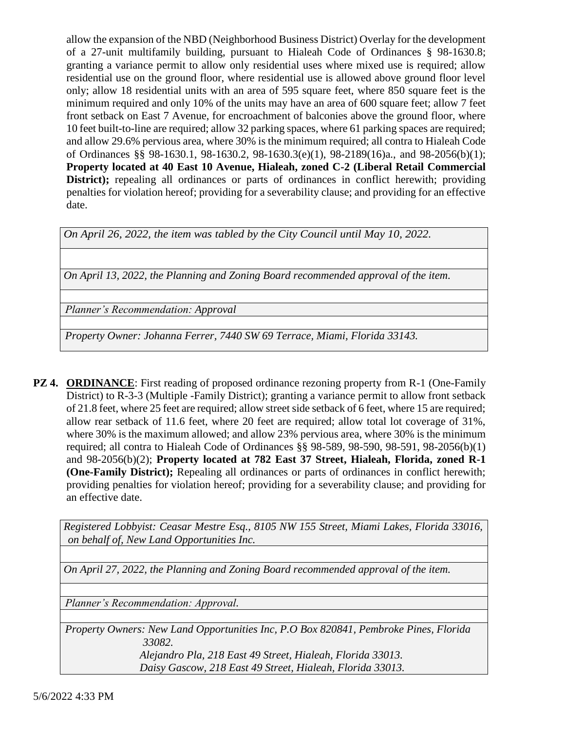allow the expansion of the NBD (Neighborhood Business District) Overlay for the development of a 27-unit multifamily building, pursuant to Hialeah Code of Ordinances § 98-1630.8; granting a variance permit to allow only residential uses where mixed use is required; allow residential use on the ground floor, where residential use is allowed above ground floor level only; allow 18 residential units with an area of 595 square feet, where 850 square feet is the minimum required and only 10% of the units may have an area of 600 square feet; allow 7 feet front setback on East 7 Avenue, for encroachment of balconies above the ground floor, where 10 feet built-to-line are required; allow 32 parking spaces, where 61 parking spaces are required; and allow 29.6% pervious area, where 30% is the minimum required; all contra to Hialeah Code of Ordinances §§ 98-1630.1, 98-1630.2, 98-1630.3(e)(1), 98-2189(16)a., and 98-2056(b)(1); **Property located at 40 East 10 Avenue, Hialeah, zoned C-2 (Liberal Retail Commercial District);** repealing all ordinances or parts of ordinances in conflict herewith; providing penalties for violation hereof; providing for a severability clause; and providing for an effective date.

*On April 26, 2022, the item was tabled by the City Council until May 10, 2022.*

*On April 13, 2022, the Planning and Zoning Board recommended approval of the item.*

*Planner's Recommendation: Approval*

*Property Owner: Johanna Ferrer, 7440 SW 69 Terrace, Miami, Florida 33143.*

**PZ 4. ORDINANCE:** First reading of proposed ordinance rezoning property from R-1 (One-Family District) to R-3-3 (Multiple -Family District); granting a variance permit to allow front setback of 21.8 feet, where 25 feet are required; allow street side setback of 6 feet, where 15 are required; allow rear setback of 11.6 feet, where 20 feet are required; allow total lot coverage of 31%, where 30% is the maximum allowed; and allow 23% pervious area, where 30% is the minimum required; all contra to Hialeah Code of Ordinances §§ 98-589, 98-590, 98-591, 98-2056(b)(1) and 98-2056(b)(2); **Property located at 782 East 37 Street, Hialeah, Florida, zoned R-1 (One-Family District);** Repealing all ordinances or parts of ordinances in conflict herewith; providing penalties for violation hereof; providing for a severability clause; and providing for an effective date.

*Registered Lobbyist: Ceasar Mestre Esq., 8105 NW 155 Street, Miami Lakes, Florida 33016, on behalf of, New Land Opportunities Inc.*

*On April 27, 2022, the Planning and Zoning Board recommended approval of the item.*

*Planner's Recommendation: Approval.*

*Property Owners: New Land Opportunities Inc, P.O Box 820841, Pembroke Pines, Florida 33082.*

> *Alejandro Pla, 218 East 49 Street, Hialeah, Florida 33013. Daisy Gascow, 218 East 49 Street, Hialeah, Florida 33013.*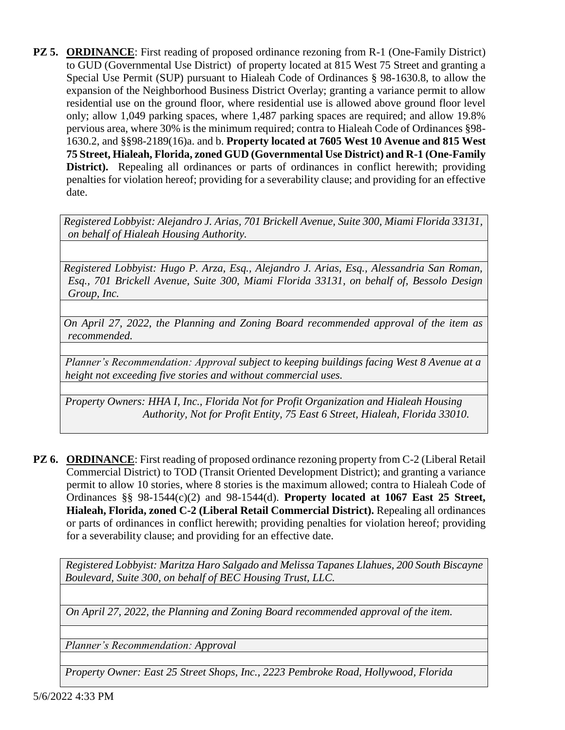**PZ 5. ORDINANCE:** First reading of proposed ordinance rezoning from R-1 (One-Family District) to GUD (Governmental Use District) of property located at 815 West 75 Street and granting a Special Use Permit (SUP) pursuant to Hialeah Code of Ordinances § 98-1630.8, to allow the expansion of the Neighborhood Business District Overlay; granting a variance permit to allow residential use on the ground floor, where residential use is allowed above ground floor level only; allow 1,049 parking spaces, where 1,487 parking spaces are required; and allow 19.8% pervious area, where 30% is the minimum required; contra to Hialeah Code of Ordinances §98- 1630.2, and §§98-2189(16)a. and b. **Property located at 7605 West 10 Avenue and 815 West 75 Street, Hialeah, Florida, zoned GUD (Governmental Use District) and R-1 (One-Family District).** Repealing all ordinances or parts of ordinances in conflict herewith; providing penalties for violation hereof; providing for a severability clause; and providing for an effective date.

*Registered Lobbyist: Alejandro J. Arias, 701 Brickell Avenue, Suite 300, Miami Florida 33131, on behalf of Hialeah Housing Authority.* 

*Registered Lobbyist: Hugo P. Arza, Esq., Alejandro J. Arias, Esq., Alessandria San Roman, Esq., 701 Brickell Avenue, Suite 300, Miami Florida 33131, on behalf of, Bessolo Design Group, Inc.*

*On April 27, 2022, the Planning and Zoning Board recommended approval of the item as recommended.*

*Planner's Recommendation: Approval subject to keeping buildings facing West 8 Avenue at a height not exceeding five stories and without commercial uses.*

*Property Owners: HHA I, Inc., Florida Not for Profit Organization and Hialeah Housing Authority, Not for Profit Entity, 75 East 6 Street, Hialeah, Florida 33010.*

**PZ 6. ORDINANCE**: First reading of proposed ordinance rezoning property from C-2 (Liberal Retail Commercial District) to TOD (Transit Oriented Development District); and granting a variance permit to allow 10 stories, where 8 stories is the maximum allowed; contra to Hialeah Code of Ordinances §§ 98-1544(c)(2) and 98-1544(d). **Property located at 1067 East 25 Street, Hialeah, Florida, zoned C-2 (Liberal Retail Commercial District).** Repealing all ordinances or parts of ordinances in conflict herewith; providing penalties for violation hereof; providing for a severability clause; and providing for an effective date.

*Registered Lobbyist: Maritza Haro Salgado and Melissa Tapanes Llahues, 200 South Biscayne Boulevard, Suite 300, on behalf of BEC Housing Trust, LLC.*

*On April 27, 2022, the Planning and Zoning Board recommended approval of the item.*

*Planner's Recommendation: Approval*

*Property Owner: East 25 Street Shops, Inc., 2223 Pembroke Road, Hollywood, Florida*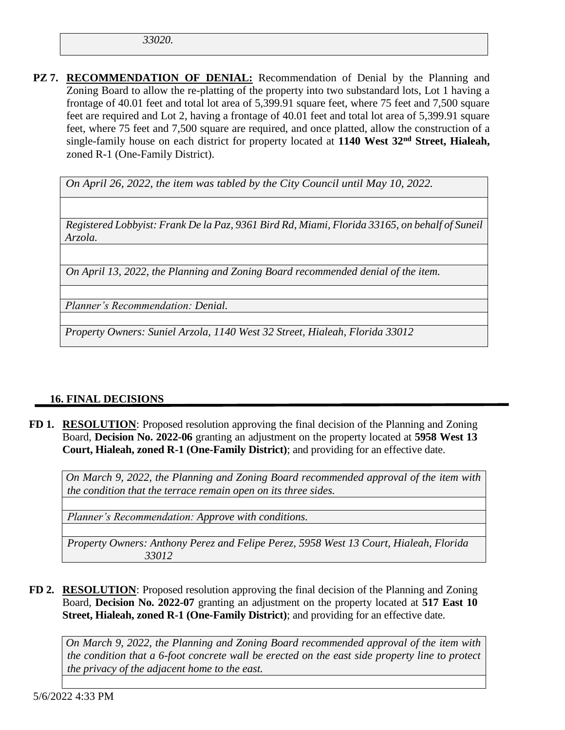*33020.*

**PZ 7. RECOMMENDATION OF DENIAL:** Recommendation of Denial by the Planning and Zoning Board to allow the re-platting of the property into two substandard lots, Lot 1 having a frontage of 40.01 feet and total lot area of 5,399.91 square feet, where 75 feet and 7,500 square feet are required and Lot 2, having a frontage of 40.01 feet and total lot area of 5,399.91 square feet, where 75 feet and 7,500 square are required, and once platted, allow the construction of a single-family house on each district for property located at **1140 West 32nd Street, Hialeah,** zoned R-1 (One-Family District).

*On April 26, 2022, the item was tabled by the City Council until May 10, 2022.*

*Registered Lobbyist: Frank De la Paz, 9361 Bird Rd, Miami, Florida 33165, on behalf of Suneil Arzola.*

*On April 13, 2022, the Planning and Zoning Board recommended denial of the item.*

*Planner's Recommendation: Denial.*

*Property Owners: Suniel Arzola, 1140 West 32 Street, Hialeah, Florida 33012*

## **16. FINAL DECISIONS**

**FD 1. RESOLUTION**: Proposed resolution approving the final decision of the Planning and Zoning Board, **Decision No. 2022-06** granting an adjustment on the property located at **5958 West 13 Court, Hialeah, zoned R-1 (One-Family District)**; and providing for an effective date.

*On March 9, 2022, the Planning and Zoning Board recommended approval of the item with the condition that the terrace remain open on its three sides.*

*Planner's Recommendation: Approve with conditions.*

*Property Owners: Anthony Perez and Felipe Perez, 5958 West 13 Court, Hialeah, Florida 33012*

**FD 2. RESOLUTION**: Proposed resolution approving the final decision of the Planning and Zoning Board, **Decision No. 2022-07** granting an adjustment on the property located at **517 East 10 Street, Hialeah, zoned R-1 (One-Family District)**; and providing for an effective date.

*On March 9, 2022, the Planning and Zoning Board recommended approval of the item with the condition that a 6-foot concrete wall be erected on the east side property line to protect the privacy of the adjacent home to the east.*